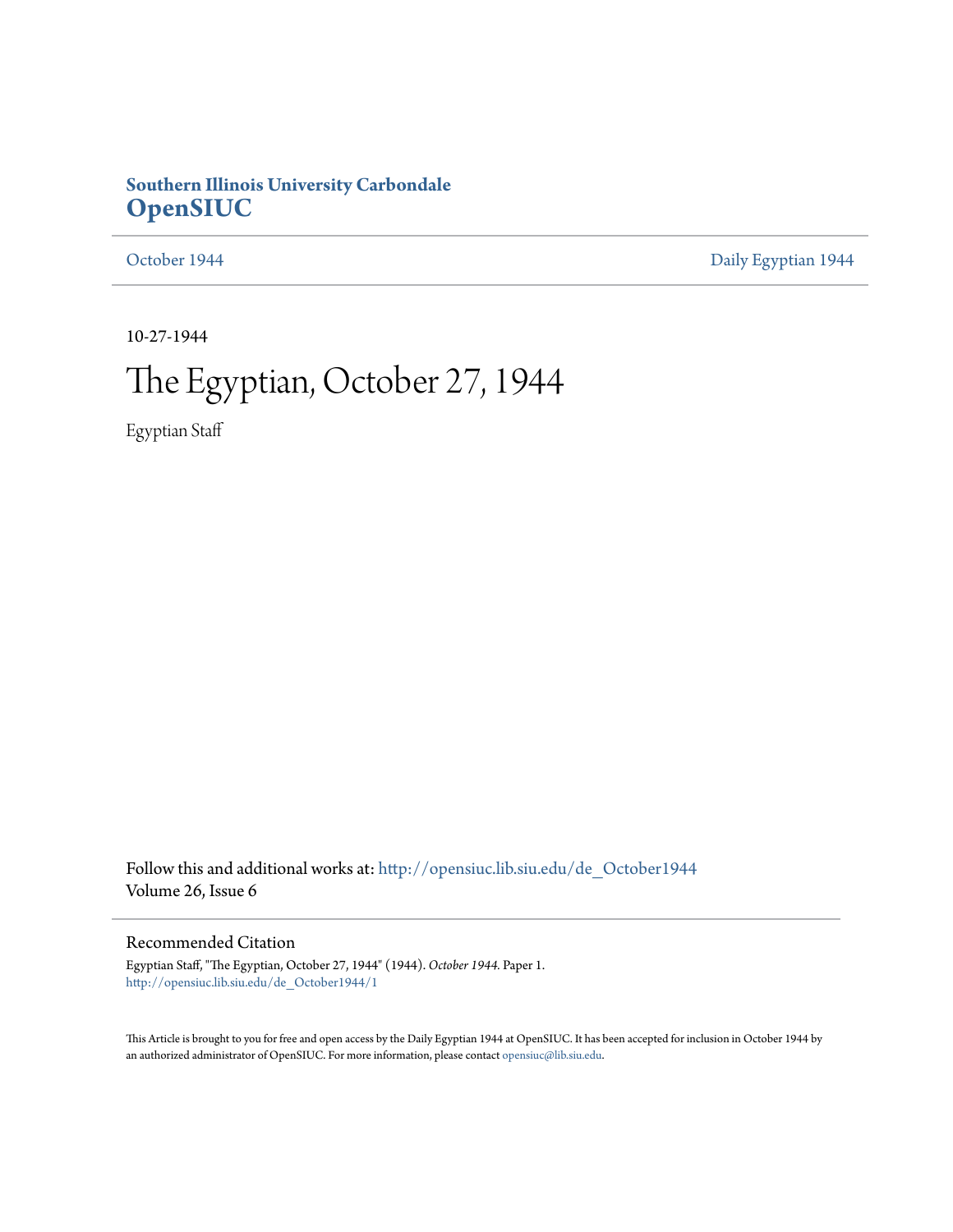### **Southern Illinois University Carbondale [OpenSIUC](http://opensiuc.lib.siu.edu?utm_source=opensiuc.lib.siu.edu%2Fde_October1944%2F1&utm_medium=PDF&utm_campaign=PDFCoverPages)**

[October 1944](http://opensiuc.lib.siu.edu/de_October1944?utm_source=opensiuc.lib.siu.edu%2Fde_October1944%2F1&utm_medium=PDF&utm_campaign=PDFCoverPages) **[Daily Egyptian 1944](http://opensiuc.lib.siu.edu/de_1944?utm_source=opensiuc.lib.siu.edu%2Fde_October1944%2F1&utm_medium=PDF&utm_campaign=PDFCoverPages)** 

10-27-1944

# The Egyptian, October 27, 1944

Egyptian Staff

Follow this and additional works at: [http://opensiuc.lib.siu.edu/de\\_October1944](http://opensiuc.lib.siu.edu/de_October1944?utm_source=opensiuc.lib.siu.edu%2Fde_October1944%2F1&utm_medium=PDF&utm_campaign=PDFCoverPages) Volume 26, Issue 6

### Recommended Citation

Egyptian Staff, "The Egyptian, October 27, 1944" (1944). *October 1944.* Paper 1. [http://opensiuc.lib.siu.edu/de\\_October1944/1](http://opensiuc.lib.siu.edu/de_October1944/1?utm_source=opensiuc.lib.siu.edu%2Fde_October1944%2F1&utm_medium=PDF&utm_campaign=PDFCoverPages)

This Article is brought to you for free and open access by the Daily Egyptian 1944 at OpenSIUC. It has been accepted for inclusion in October 1944 by an authorized administrator of OpenSIUC. For more information, please contact [opensiuc@lib.siu.edu.](mailto:opensiuc@lib.siu.edu)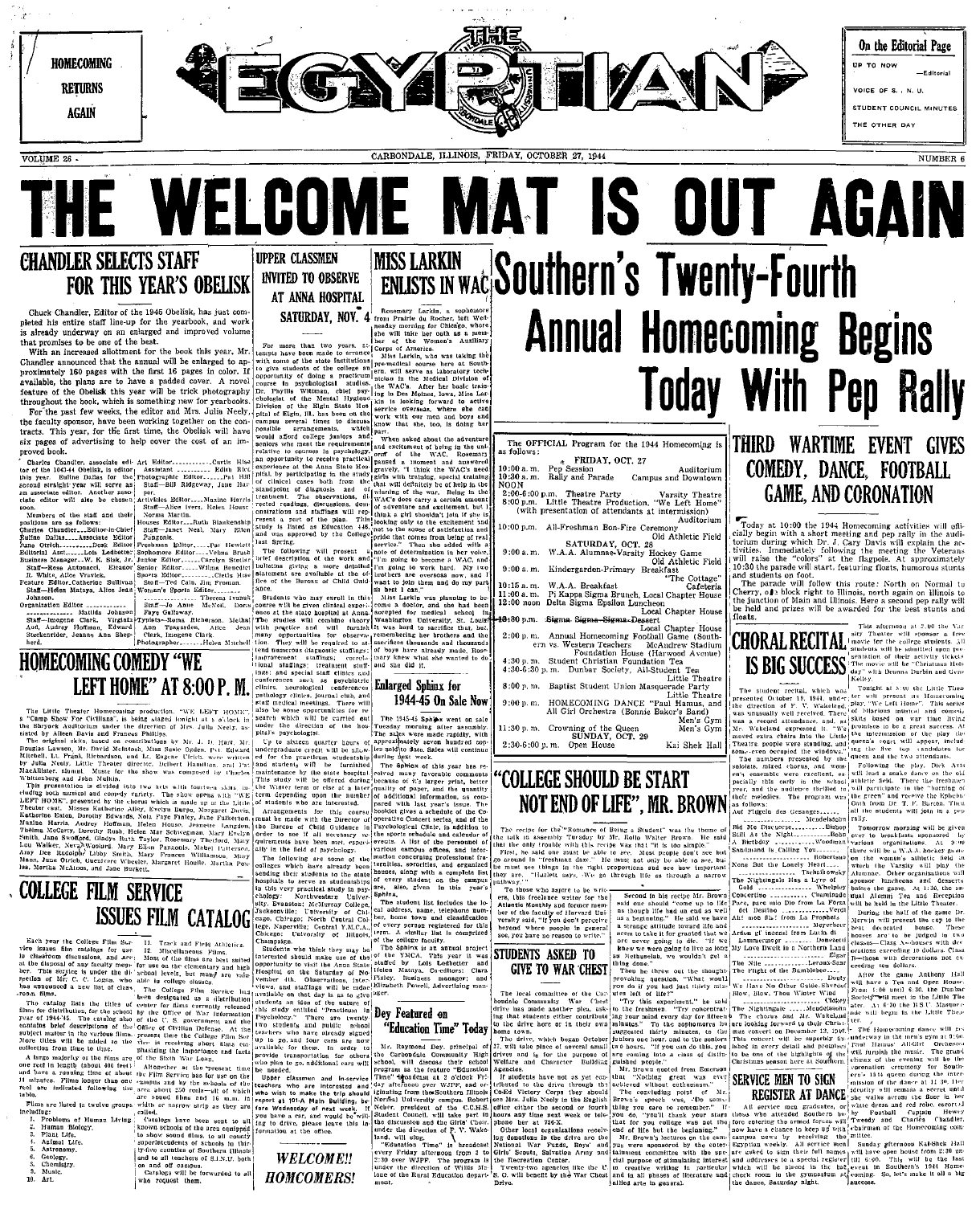

 $VOTJIME$  26  $\overline{S}$ 

CARBONDALE, ILLINOIS, FRIDAY, OCTOBER 27, 1944

### **CHANDLER SELECTS STAFF UPPER CLASSMEN INVITED TO OBSERVE FOR THIS YEAR'S OBELISK** AT ANNA HOSPITAL

Chuck Chandler, Editor of the 1945 Obelisk, has just com pleted his entire staff line-up for the yearbook, and world proced in direction and enterprise and improved volume is already underway on an entarged and improved volume

With an increased allottment for the book this year. Mr. With an increased allottment for the book this year, art.<br>Chandler announced that the annual will be enlarged to approximately 160 pages with the first 16 pages in color. If available, the plans are to have a padded cover. feature of the Obelisk this year will be trick photography throughout the book, which is something new for yearbooks

For the past few weeks, the editor and Mrs. Julia Neely. For faculty sponsor, have been working together on the con-<br>tracts. This year, for the first time, the Obelisk will have six pages of advertising to help cover the cost of an im-

**EXAMPLE IN CONSULTER CONSULTS AND ACTES (FIGURE 118)**<br>
The Little Theoretic and Society Holomonton (Figure 118)<br>
The Comp Show For Civilinas', is being statistic invigible at a Society in<br>
the Shopyerk and the discussion

Each year the College Film Sec 11. Track and Field Athletics.<br>The issues film Sec 11. Track and Field Athletics.<br>In chestoon discussions, and Arc: 125. Miscellaneous Plums.<br>The best natively the second of any field of the

**COLLEGE FILM SERVICE** 

Human B<br>Plant Life

Plant Life.<br>Animal Life.<br>Astronomy.

Geology.<br>Chemistry

# SATURDAY, NOV. 4

to arrang<br>Institution enstitutions researching when<br>college an remedical course Further of doing a practicum<br>prediction and the specifical studies.<br>Phyllis Wittman, chief psy-<br>goint of the Maral Hygieus<br>of the Maral Hygieus<br>of Disk (H). has been on the<br>pus several times to discuss<br>bile arrangements, plies to seem at firmer to disturbly know that see,  $\mu_{\text{tot}}$ ,  $\mu_{\text{tot}}$  can be seen at firmer to disturbly the second second property and the second second second second second second second second second second second

since and special start entires and<br>conferences such as paychiotric<br>pathology clinics, neurological conferences<br>pathology clinics, journal club, and<br>staff medical meetings. There will<br>also be some opportunities for re-<br>sta 1944-45 On Sale Now

sill be allowedness sol

Up to sixtene quarter bours of approximate operator and the sixtene matrix of the sixtene matrix and the matrix of the sixtene matrix and the matrix and the matrix and the sixtene matrix and the sixtene matrix and the six

THE SERVICE SERVICE SUPER TRIMP OF THE STATE OF THE MODEL IS INCORPORATED TO A SUPER TRIMP OF THE SERVICE OF THE STATE OF THE SERVICE OF THE STATE OF THE STATE OF THE STATE OF THE STATE OF THE STATE OF THE STATE OF THE STA

The section of the section of the section of the section of the section of the section of the section of the section of the section of the catalog hier to calculate the catalog hier to discuss the catalog hier to discuss .u.<br>classmen and in-servic interested who wish to make the trip should<br>report at 101-A Main Building, be-<br>fore Wednesday of next week. If

the direction

under the arrection of<br>pital's psychologist.<br>Up to sixteen quarter<br>undergraduate credit will<br>ed for the practicum s

colled,<br>  $\begin{bmatrix}\n\text{calo} & \text{in} \\
\text{calo} & \text{in} \\
\text{in} \\
\text{in} \\
\text{in} \\
\text{in} \\
\text{in} \\
\text{in} \\
\text{in} \\
\text{in} \\
\text{in} \\
\text{in} \\
\text{in} \\
\text{in} \\
\text{in} \\
\text{in} \\
\text{in} \\
\text{in} \\
\text{in} \\
\text{in} \\
\text{in} \\
\text{in} \\
\text{in} \\
\text{in} \\
\text{in} \\
\text{in} \\
\text{in} \\
\text{in} \\
\text{in} \\
\text{in} \\
\text{in} \\
\text{in$ 

### **WELCOME!!** on and off campus.<br>Catalogs will be torwurded to all who request them.

**Corps** Miss Larkin, who was taking the

college an error catcal course here<br>college an error will serve as laborated in the Medical D<br>data station in the Medical D<br>chief psy. the WACs. After her bit<br>all Hydeou in the Medical D<br>station Hospital in the Soliday for

gravely, "I think the WAC's nee<br>sirls with training, special trainin<br>hat will definitely be of help in th<br>wiuning of the war. Being in th

The 1945-45 Sphinx went on sale

A somalic rust is comprised<br>college faculty, said annual project<br>e YMCA. This year it was<br>d by Lois Leabteter and<br>d by Lois Leabters; Clara<br>Mataya, Co-editors; Clara

Exp. Assembly Contribute of the CAC-1,  $\alpha$  and a state of the control of the control of the state of the state of the Shine and the control interest about mixture and the state of the Shine and the control opportunity to "Education Time" Today Mr. Raymond Dey, principal of<br>he Carbondale Community High<br>chool, will discuss their school<br>pregram as the feature "Education pregram 28 the teature "Education<br>Time" bipadeast at 2 o'clock Fri-<br>day afternoon over WJPF, and or-<br>ightsting from the Southern Illinois<br>blessing from the Southern Illinois

the ones.<br>will sing.<br>weation Time" is

**HOMCOMERS!** 

# THE WELCOME MAT IS OUT AGAIN MISS LARKIN Southern's Twenty-Fourth **Annual Homecoming Begins Today With Pep Rally**

The OFFICIAL Program for the 1944 Homecoming is FRIDAY, OCT. 27 **EXIDAY, OCT. 27**<br>10:30 a.m. Pep Session Auditorium<br>10:30 a.m. Rally and Parade Campus and Downtown<br>NOON NOON<br>2:00-6:00 p.m. Theatre Party<br>8:00 p.m. Little Theatre Production, "We Left Home"<br>(with presentation of attendants at intermission) Auditoriun 10:00 p.m. All-Freshman Bon-Fire Ceremony 10:00 p.m. All-Presuman  $L_{\text{V}}$ , Old Athletic Pietu<br>
9:00 a.m. W.A.A. Alumnae-Varsity Hockey Game<br>
9:00 a.m. W.A.A. Alumnae-Varsity Hockey Game<br>
9:00 a.m. Kindergarden-Primary Break "The Cottage"<br>
The Cateteria  $10:15 a. m. W.A.A. Breakfast  
\n11:00 a. m. Pi Kappa Sigma Brunch, Local Chapter House  
\n12:00 a. m. Pi Kappa Sigma Bpullch, Local Chapter House  
\n12:00 acon Delta Sigma  
\n     Local Chapter House$ 11:00 a.m. 11:00 a.m. Eigma Epsilon Luncheon<br>
12:00 n.on Delta Sigma Epsilon Luncheon<br>
12:00 p.m. Annual Homecoming Football Came (Southern 15:00<br>
2:00 p.m. Annual Homecoming Football Came (Southern 17:00)<br>
ern vs. Wester on P. m. Hapital Homel Monte (Harting Course the RECHTAL Tensor and the two-stream of the control on the street of the street of the street of the street of the street of the street of the street of the street of the stre

11:30 p.m. Crowning of the Queen<br>SUNDAY, OCT. 29 2:30-6:00 p.m. Open House

# **'COLLEGE SHOULD BE START**

The recipe for the "Romance of Being a Student" was the theme of Bish As the Nightman relation of the relationship of the Student Hammer of Bish As the Nightman recipe of the Romance of Bish As the Nightman recipe of the

To those who aspire to be writ-<br>ers, this freelance writer for the **Atlantic Monthly and former mem** ber of the faculty of Harvard University said, "If you don't perceive heyond where people in genera<br>see, you have no reason to write." STUDENTS ASKED TO

### **GIVE TO WAR CHEST**

We<br>through the contract the specific property of the specific state of the<br>specific terms of the specific state of the specific state of the specific<br>different control of the specific state of the specific specific specif

Estimate of  $\mathbf{r} \cdot \mathbf{W}$  and  $\mathbf{r} \cdot \mathbf{W}$  and  $\mathbf{r} \cdot \mathbf{W}$  are direction of  $\mathbf{F} \cdot \mathbf{V} \cdot \mathbf{W}$  are direction of  $\mathbf{F} \cdot \mathbf{V} \cdot \mathbf{W}$  are direction of  $\mathbf{F} \cdot \mathbf{W}$  and  $\mathbf{V} \cdot \mathbf{B}$  and  $\mathbf{V}$ 

### **THIRD WARTIME EVENT GIVES** COMEDY, DANCE, FOOTBALL **GAME, AND CORONATION**

Today at 10:00 the 1944 Homecoming activities will of<br>icially begin with a short mesling and pen yally in the audio<br>torium during which Dr. J. Cary Davis will explain the ac-<br>tivities. Immediately following the meeting the

interference in Section 1993. The contract in the contract of the contract of the contract of the contract of the principal contract of the principal to the principal to the principal contract of the principal to the princ

This stressoon **CHORAL RECITAL** State afternoon at 2,00 the Value of the Value of the Value of the Value of the Value of the College students. All proposer a free

chronic intervals in the Nightlerian Basebase Mathematics and density<br>and the Nightlerian Basebase Mathematics and density<br>and the Nightlerian Basebase Mathematics and density<br>and in the Nightlerian Basebase Mathematics a

end of life but the beginning." Mr. Brown's lectures on the cam-



ARTICIPATE AT DANCE security will remain a secret of the CISTER AT DANCE security will remain a secret of the CISTER AT DANCE secret of the dress and red robe, contains the property of the container of the property and cha entering the armod forces will

The force electric the neural cross will 'Tweedy and Chatten' Chander and continue are the temperature of the matter of the matter of the matter of the state of the state of the state and the state of the state of the sta enter- Egyptian ca:30 un-<br>the last<br>4 Home

ັບພ

Other organize

**GIPS** 10 FIRM VIEW THE problem and to the result of the state in the state of the case of the case of the case of the case of the case of the case of the case of the case of the case of the case of the case of the case o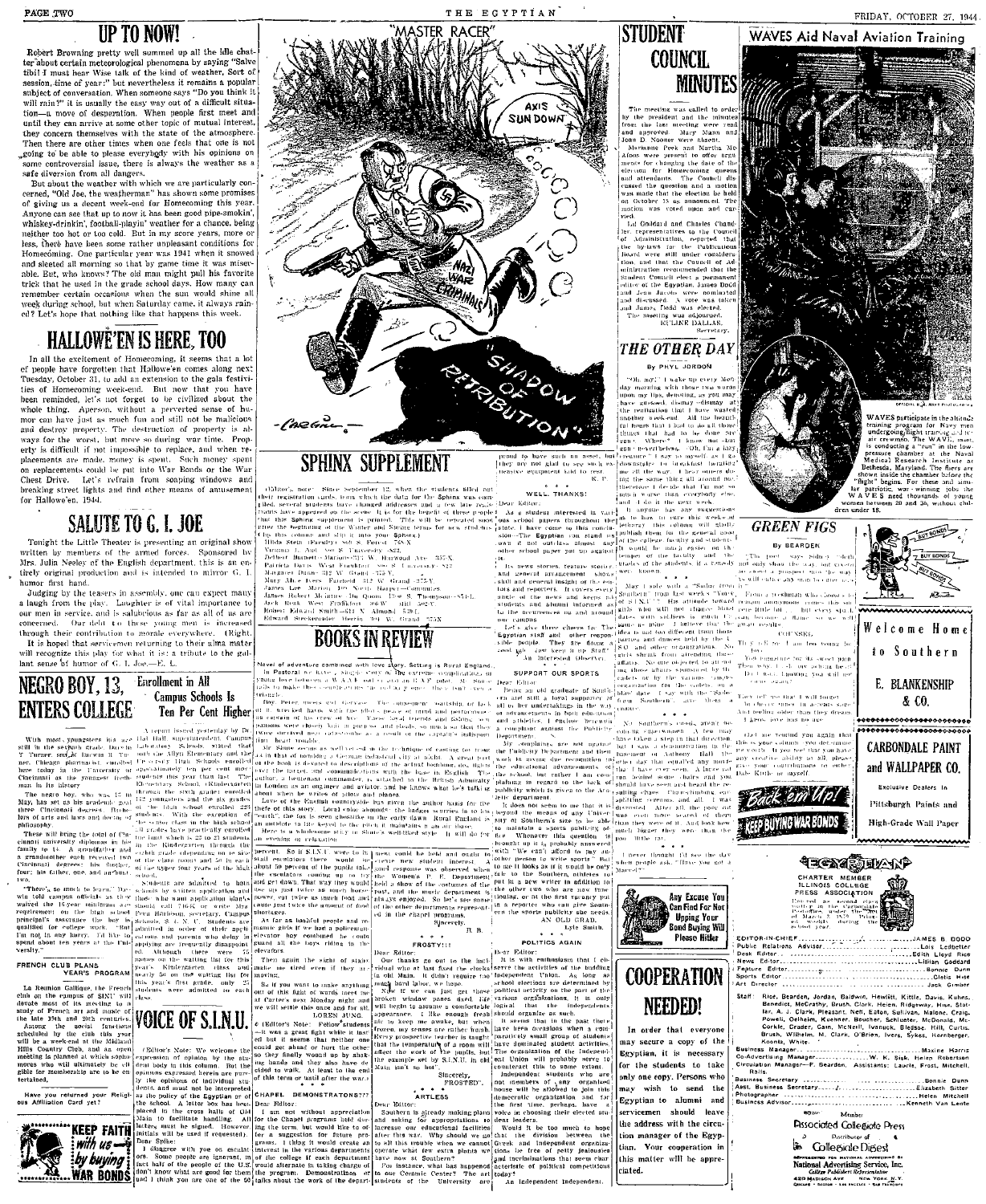Robert Browning pretty well summed up all the idle chat-<br>ter about certain meteorological phenomena by saying "Salve<br>tibi! I must henr Wise talk of the kind of weather, Sort of session, time of year:" but nevertheless it remains a popular<br>subject of conversation. When someone says "Do you think it<br>will rain?" it is usually the easy way out of a difficult situa-<br>tion—a move of desperation. When pe until they can arrive at some other topk of mutual interest,  $\frac{1}{\sqrt{1-\frac{1}{n}}}$  they concern themselves with the state of the atmosphere. Then there are other times when one feels that one is not  $\log$  ong to be able to please everybody with his opinions on some controversial issue, there is always the weather as a safe diversion from all dangers.

safe diversion from all dangers.<br>But about the weather with which we are particularly con-<br>exerned, "Old Joe, the weakherman" has shown some promises<br>of giving us a decent week-end for Homecoming this year.<br>Anyone can ease neither too hot or too cold. But in my score years, more of less, there have been some rather unpleasant conditions for<br>Homecóming. One particular year was 1941 when it snowed and sleeted all morning so that by game time it was miser-<br>able. Eut, who knows? The old man might pull his favorite trick that he used in the grade school days. How many can<br>remember certain occasions when the sun would shine all week during school, but when Saturday came, it always rained? Let's hope that nothing like that happens this week.

### HALLOWE'EN IS HERE, **TOO**

In all the excitement of Homecoming, it seems that a lot ef people have forgotten that Hallowe'en comes along next<br>Tuesday, October 31, tu add an extension to the gala festivities of Homecoming week-end. But now that you have<br>been reminded, let's not forget to be civilized about the<br>whole thing. Aperson, without a perverted sense of hu-<br>mor can have just as much fun and still not be malleious and destroy property. The destruction of property is al-<br>ways for the worst, but more so during war time. Property is difficult if not impossible to replace, and when re-<br>placements are made, money is spent. Such money spent placements are made, mode) is spent. Forth model spent Chest Drive. Let's refrain from soaping windows and brenking street lights and find other means of annusement for Hallowe'en, 1944.

Mrs. Julia Neeley of the English department, this is an en- Dethert Bunnett-Marque-21; W. Burway Are 25, Altra Least Area (Concern and the state of the state of the state of the state of the state of the state of the state

**EXCORPED 1988** The state of the state of the state of the state of the state of the state of the state of the state of the state of the state of the state of the state of the state of the state of the state of the state





their registration ands to me which the data for the Sphinx was come. WELL THANKS: and the data the unit wave then wave the carrylong when the company the company of young the company of young the state of the sphinx of th **SALUTE TO G. 1. JOE** FOR THE SPIN SECOND TO THE SUITE OF THE SUITE OF THE SUITE CONTRACT OF THE SECOND PRESS (SEE ALUTE THE SECOND PRESS (SEE ALUTE THE SECOND PRESS (SEE ALUTE THE SECOND PRESS (SEE ALUTE THE SUITE OF THE

ENTERS COLLEGE. Compute Schools is the content of the present of the consequent sentition of Le La and the content of the content of the content of the content of the content of the content of the content of the content of



Welcome Home 10 Southern E. BLANKENSHIP & CO,

His attitude toward pengin aconymous comes this since than the bitter completed in the complete since  $\mu$  is a mitch of the sward research of the system of the system of the system of the system of the system of the syste

thet me remind you again the



Fitch, Bearden, Jordan, Baidwin, Hewlitt, Kittle, Davis, Kulnis, Beardet, McCrathy, Braul, Kulnis, Stor, Bighway, Huse, Stor, Bighway, Huse, Stor, Beardet, McCrath, Pennett, Renett, Pennett, Pennett, Cristian, Sublivan, Mc 

Member

**Passociated Collegiate Press Be** Collegiale Digest MENTALISMENT ON MATIONAL ADVERTISING OF NATIONAL ADVERTISING SEPTICO, INC.<br>College Publishers Representative<br>420 MADING AVE NEW YORK NATIONAL REPORT OF STATISTICS

# | they=n<br>| nensiv<br>|

(Tonight the Little Theater is presenting an original show! Hubbs columns and studies in the Little Theater is presenting an original show! Hubbs stein Parently wit step of GN and the Christmas and standard and standard

organizations. No





re for its sweet pain<br>-4 "ory aching head<br>Lhowing you will not

They left use that I will forget

**CARBONDALE PAINT** 



High-Grade Wall Paper

Back em Up! **EXELP BUYING WAR BONDS** 







I constant the task of the Council<br>Internatives to the Council<br>Administration, reported that<br> $\frac{1}{2}$  is two test all under considers.<br>In and that the Council of Adminiztration recommended that the

ea.<br>Lil Goddard and Charles Chand-

The median scale<br>and to order the median of the conduction of the line median matrice<br>and approved. Many Mann and the conduction of the scale<br>of any Stann and Jones were statent. Many Mann and Jones were present to order

**MINUTES**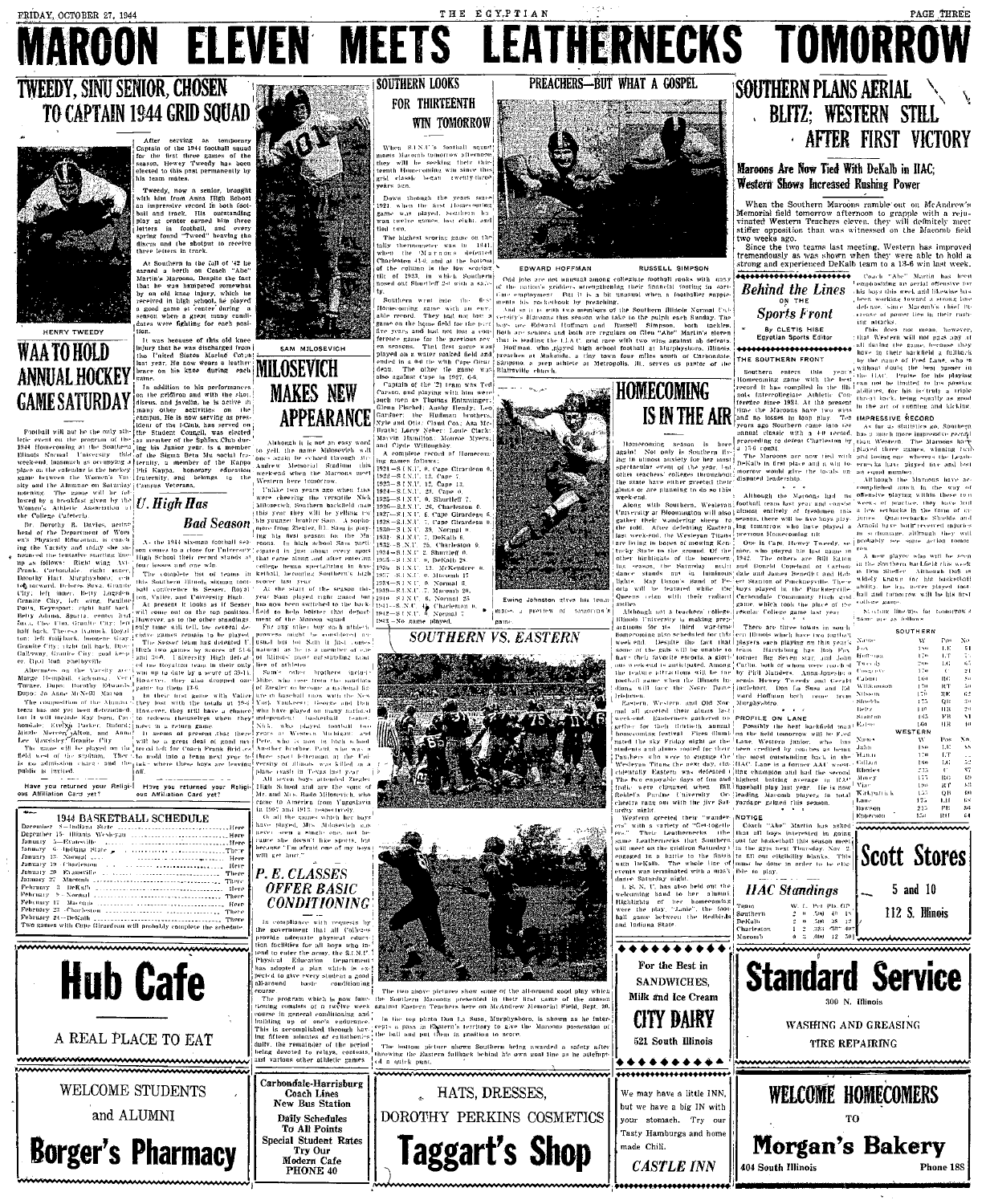### ELEVEN MEETS LEATHERNECKS TOMORROW **AROON**

KO

SAM MILOSEVICH

**MAKES NEW** 

### **TWEEDY, SINU SENIOR, CHOSEN** TO CAPTAIN 1944 GRID SQUAD



HENRY TWEEDY

### WAA TO HOLD **ANNUAL HOCKEY GAME SATURDAY**

The game will be fol-<br>a breakfast given by the  $U$ . High Has Been Cafeteria

.<br>rothy R. Davies, actine<br>he Department of Wom

.<br>Have you returned your Religi-<br>FAffiliation Card vet? Hove you returned your<br>ous Affiliation Card yet?

serving as temporary<br>of the 1944 football squad<br>first three games of the service of the service of the service of the service of the service of the service of<br>Hewey Tweedy has been the service of the service of the service

addition to his performances<br>
in gridfron and with the slot.<br>
is, and javelin, he is acrive the<br>
is, and javeling to the scrive the<br>
y other activities on the<br>
on He is now serving as pres-

the Student

States of the Ward Tropics of the Ward States of the States of the Constant of the States of the States of the States of the States of the States of the States of the States of the States of the States of the States of the

fraternity, ənd. 1<br>Campus Veterans.

## **Bad Season**

1944 BASKETBALL SCHEDULE - 5 - camana State<br>- 15 - Himnis Wesleyan





A REAL PLACE TO EAT

WELCOME STUDENTS and ALUMNI

Carbondale-Harrisburg<br>Coach Lines<br>New Bus Station **Daily Schedules** To All Points Special Student Rates **Borger's Pharmacy** Try Our<br>Modern Cafe<br>PHONE 40

**OFFER BASIC** 

**CONDITIONING** 



**SOUTHERN LOOKS** 

**APPEARANCE** 

Cape 0. Shurtleff







shots Dan La Suca. Mucubyshore

of a outek oun

HATS, DRESSES,

DOROTHY PERKINS COSMETICS

Taggart's Shop





BUT WHAT A GOSPEL

HOMECOMING **IS IN THE AIR** 

her<br>Sanie

For the Best in SANDWICHES. Milk and Ice Cream



may have a little INN, but we have a big IN with stomach. Try our Tasty Hamburgs and home

**CASTLE INN** 

made Chili.

### **SOUTHERN PLANS AERIAL** . BLITZ; WESTERN STILL **AFTER FIRST VICTORY**

PAGE THREE

### Maroons Are Now Tied With DeKalb in IIAC: Western Shows Increased Rushing Power

When the Southern Marcons ramble out on McAndrew's<br>Memorial field tomorrow afternoon to grapple with a reju-<br>vinafted Western Teachers eleven. they will dechiledy meet<br>stiffer opposition than was witnessed on the Maconiu f wo weeks ago.

two weeks ago.<br>Since the two teams last meeting, Western has improved<br>tremendously as was shown when they were able to hold a<br>strong and experienced DeKalb team to a 13-6 win last week. described to the state of the Martin has been<br>and the state of the state of the state of the state of the state of the state of the state of the state of the state of the state of the state of the state of the state of the

working toward

**Behind the Lines** his boys this week and likewise has

**Sports Front** -<br>By CLETIS HISE<br>Egyptian Sports Editor

SOUTHERN FRONT

with the  $\overline{\text{in}}$  the  $\overline{\text{Hb}}$ compiled ollegiaie Athletic<br>ce 1934, At the pr

would give the tocals<br>leadership.

Kirkosti

"Abe" Martin has asked

104 South Illinois



staard.<br>Sheelds **Belty** Eatmo

Lane<br>Dawson



Phone 188







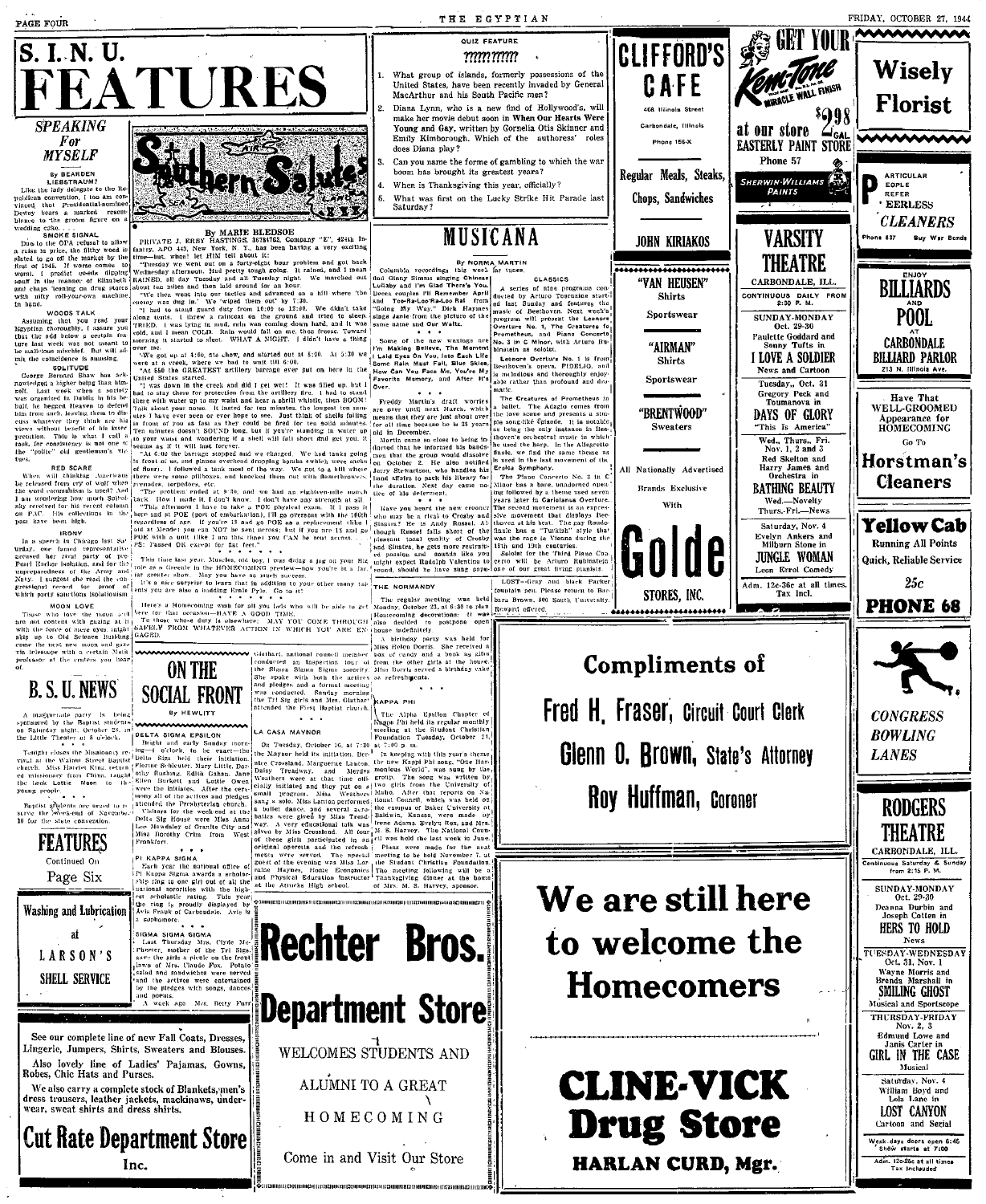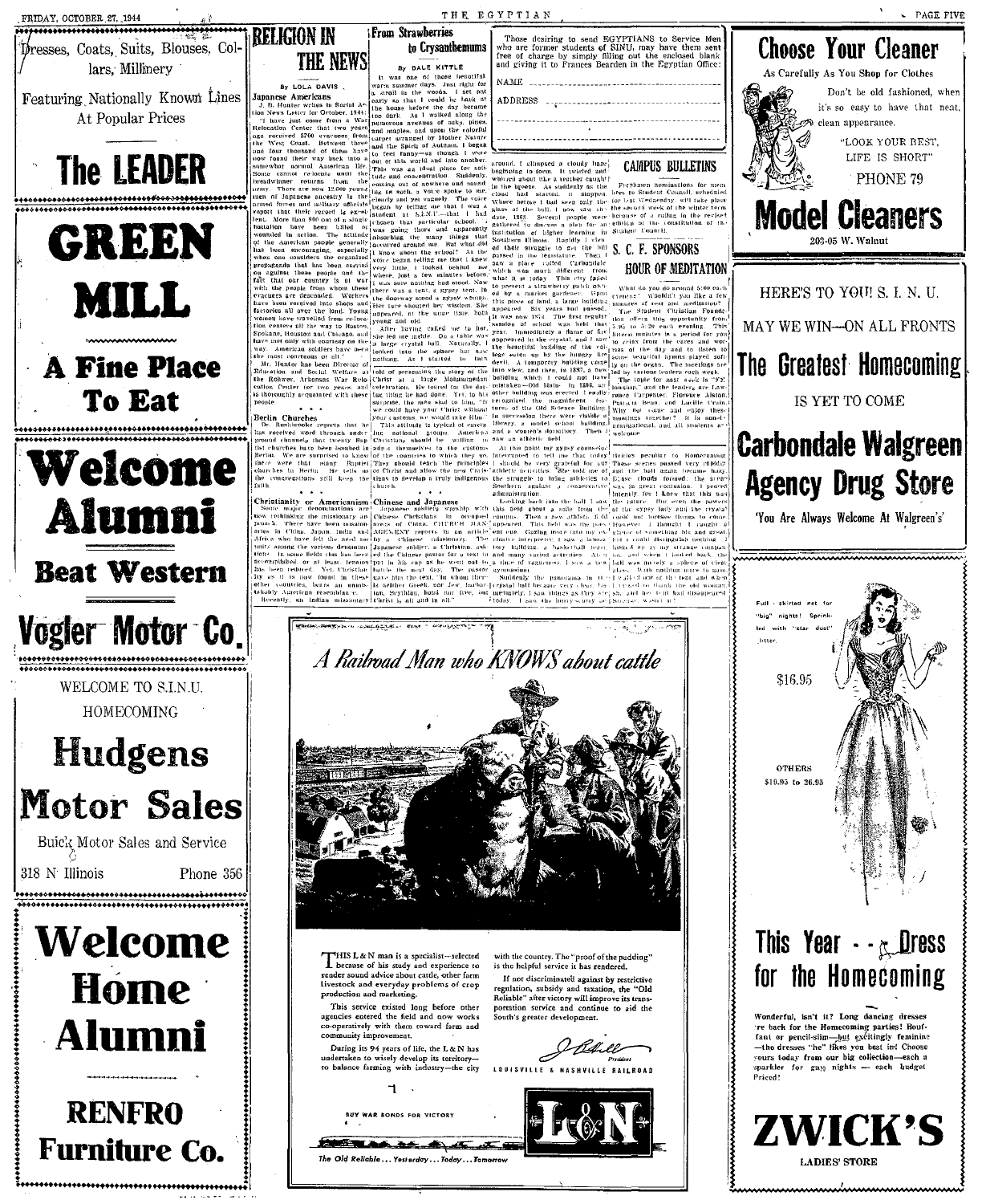